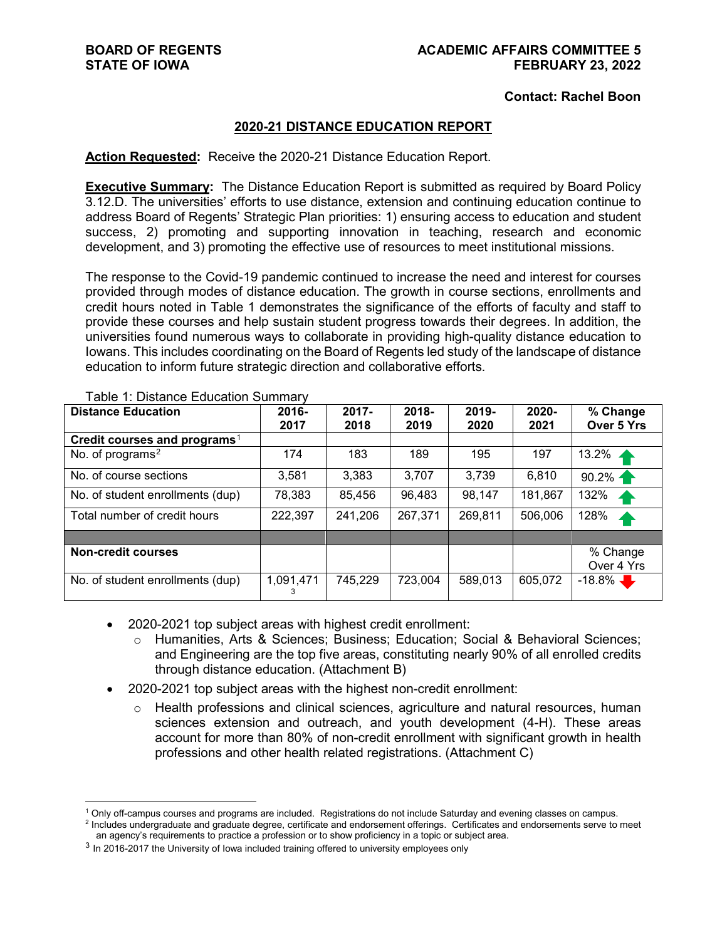#### **Contact: Rachel Boon**

#### **2020-21 DISTANCE EDUCATION REPORT**

#### **Action Requested:** Receive the 2020-21 Distance Education Report.

**Executive Summary:** The Distance Education Report is submitted as required by Board Policy 3.12.D. The universities' efforts to use distance, extension and continuing education continue to address Board of Regents' Strategic Plan priorities: 1) ensuring access to education and student success, 2) promoting and supporting innovation in teaching, research and economic development, and 3) promoting the effective use of resources to meet institutional missions.

The response to the Covid-19 pandemic continued to increase the need and interest for courses provided through modes of distance education. The growth in course sections, enrollments and credit hours noted in Table 1 demonstrates the significance of the efforts of faculty and staff to provide these courses and help sustain student progress towards their degrees. In addition, the universities found numerous ways to collaborate in providing high-quality distance education to Iowans. This includes coordinating on the Board of Regents led study of the landscape of distance education to inform future strategic direction and collaborative efforts.

| <b>Distance Education</b>                | 2016-<br>2017 | 2017-<br>2018 | 2018-<br>2019 | 2019-<br>2020 | $2020 -$<br>2021 | % Change<br>Over 5 Yrs |
|------------------------------------------|---------------|---------------|---------------|---------------|------------------|------------------------|
| Credit courses and programs <sup>1</sup> |               |               |               |               |                  |                        |
| No. of programs <sup>2</sup>             | 174           | 183           | 189           | 195           | 197              | 13.2%                  |
| No. of course sections                   | 3,581         | 3,383         | 3,707         | 3,739         | 6,810            | 90.2%                  |
| No. of student enrollments (dup)         | 78,383        | 85,456        | 96,483        | 98,147        | 181,867          | 132%<br>4              |
| Total number of credit hours             | 222,397       | 241,206       | 267,371       | 269,811       | 506,006          | 128%<br>4              |
|                                          |               |               |               |               |                  |                        |
| <b>Non-credit courses</b>                |               |               |               |               |                  | % Change               |
|                                          |               |               |               |               |                  | Over 4 Yrs             |
| No. of student enrollments (dup)         | 1,091,471     | 745,229       | 723,004       | 589,013       | 605,072          | $-18.8\%$              |

Table 1: Distance Education Summary

• 2020-2021 top subject areas with highest credit enrollment:

- o Humanities, Arts & Sciences; Business; Education; Social & Behavioral Sciences; and Engineering are the top five areas, constituting nearly 90% of all enrolled credits through distance education. (Attachment B)
- 2020-2021 top subject areas with the highest non-credit enrollment:
	- $\circ$  Health professions and clinical sciences, agriculture and natural resources, human sciences extension and outreach, and youth development (4-H). These areas account for more than 80% of non-credit enrollment with significant growth in health professions and other health related registrations. (Attachment C)

 <sup>1</sup> Only off-campus courses and programs are included. Registrations do not include Saturday and evening classes on campus.

<span id="page-0-1"></span><span id="page-0-0"></span><sup>&</sup>lt;sup>2</sup> Includes undergraduate and graduate degree, certificate and endorsement offerings. Certificates and endorsements serve to meet an agency's requirements to practice a profession or to show proficiency in a topic or subject area.

<span id="page-0-2"></span><sup>&</sup>lt;sup>3</sup> In 2016-2017 the University of Iowa included training offered to university employees only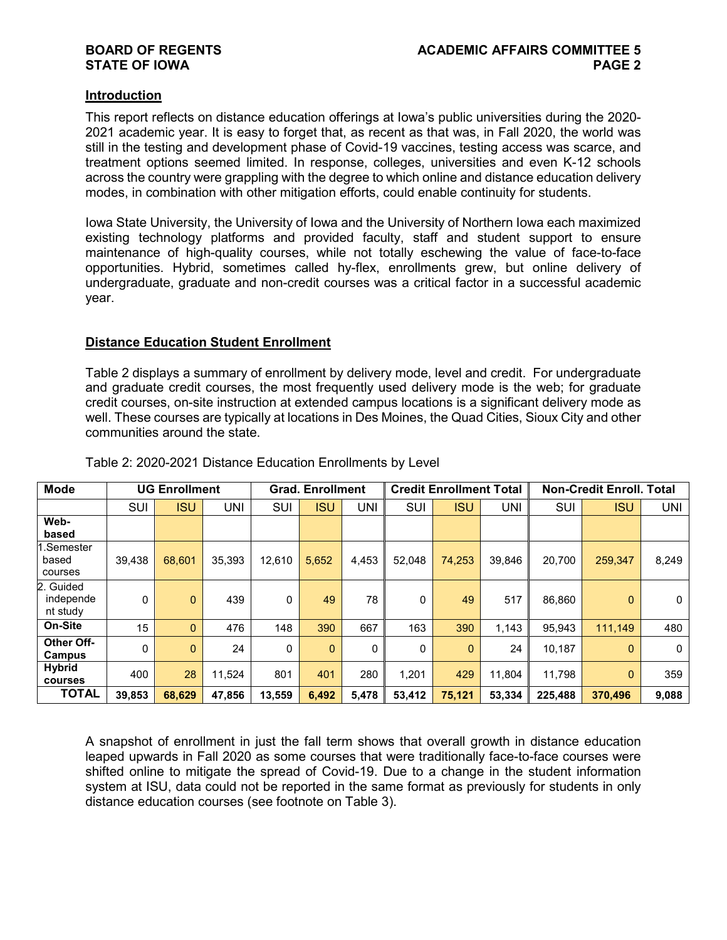#### **Introduction**

This report reflects on distance education offerings at Iowa's public universities during the 2020- 2021 academic year. It is easy to forget that, as recent as that was, in Fall 2020, the world was still in the testing and development phase of Covid-19 vaccines, testing access was scarce, and treatment options seemed limited. In response, colleges, universities and even K-12 schools across the country were grappling with the degree to which online and distance education delivery modes, in combination with other mitigation efforts, could enable continuity for students.

Iowa State University, the University of Iowa and the University of Northern Iowa each maximized existing technology platforms and provided faculty, staff and student support to ensure maintenance of high-quality courses, while not totally eschewing the value of face-to-face opportunities. Hybrid, sometimes called hy-flex, enrollments grew, but online delivery of undergraduate, graduate and non-credit courses was a critical factor in a successful academic year.

#### **Distance Education Student Enrollment**

Table 2 displays a summary of enrollment by delivery mode, level and credit. For undergraduate and graduate credit courses, the most frequently used delivery mode is the web; for graduate credit courses, on-site instruction at extended campus locations is a significant delivery mode as well. These courses are typically at locations in Des Moines, the Quad Cities, Sioux City and other communities around the state.

| <b>Mode</b>                        |        | <b>UG Enrollment</b> |        |        | <b>Grad. Enrollment</b> |              |        | <b>Credit Enrollment Total</b> |        |         | <b>Non-Credit Enroll. Total</b> |       |
|------------------------------------|--------|----------------------|--------|--------|-------------------------|--------------|--------|--------------------------------|--------|---------|---------------------------------|-------|
|                                    | SUI    | <b>ISU</b>           | UNI    | SUI    | <b>ISU</b>              | UNI          | SUI    | <b>ISU</b>                     | UNI    | SUI     | ISU                             | UNI   |
| Web-<br>based                      |        |                      |        |        |                         |              |        |                                |        |         |                                 |       |
| l.Semester<br>based<br>courses     | 39,438 | 68.601               | 35,393 | 12.610 | 5,652                   | 4,453        | 52.048 | 74,253                         | 39,846 | 20.700  | 259,347                         | 8,249 |
| 2. Guided<br>independe<br>nt study | 0      | $\mathbf{0}$         | 439    | 0      | 49                      | 78           | 0      | 49                             | 517    | 86,860  | $\mathbf{0}$                    | 0     |
| On-Site                            | 15     | $\Omega$             | 476    | 148    | 390                     | 667          | 163    | 390                            | 1,143  | 95.943  | 111,149                         | 480   |
| Other Off-<br>Campus               | 0      | $\Omega$             | 24     | 0      | $\Omega$                | $\mathbf{0}$ | 0      | $\Omega$                       | 24     | 10.187  | $\mathbf{0}$                    | 0     |
| Hybrid<br>courses                  | 400    | 28                   | 11.524 | 801    | 401                     | 280          | 1.201  | 429                            | 11.804 | 11.798  | $\mathbf{0}$                    | 359   |
| <b>TOTAL</b>                       | 39,853 | 68,629               | 47.856 | 13,559 | 6,492                   | 5,478        | 53.412 | 75,121                         | 53,334 | 225,488 | 370.496                         | 9,088 |

Table 2: 2020-2021 Distance Education Enrollments by Level

A snapshot of enrollment in just the fall term shows that overall growth in distance education leaped upwards in Fall 2020 as some courses that were traditionally face-to-face courses were shifted online to mitigate the spread of Covid-19. Due to a change in the student information system at ISU, data could not be reported in the same format as previously for students in only distance education courses (see footnote on Table 3).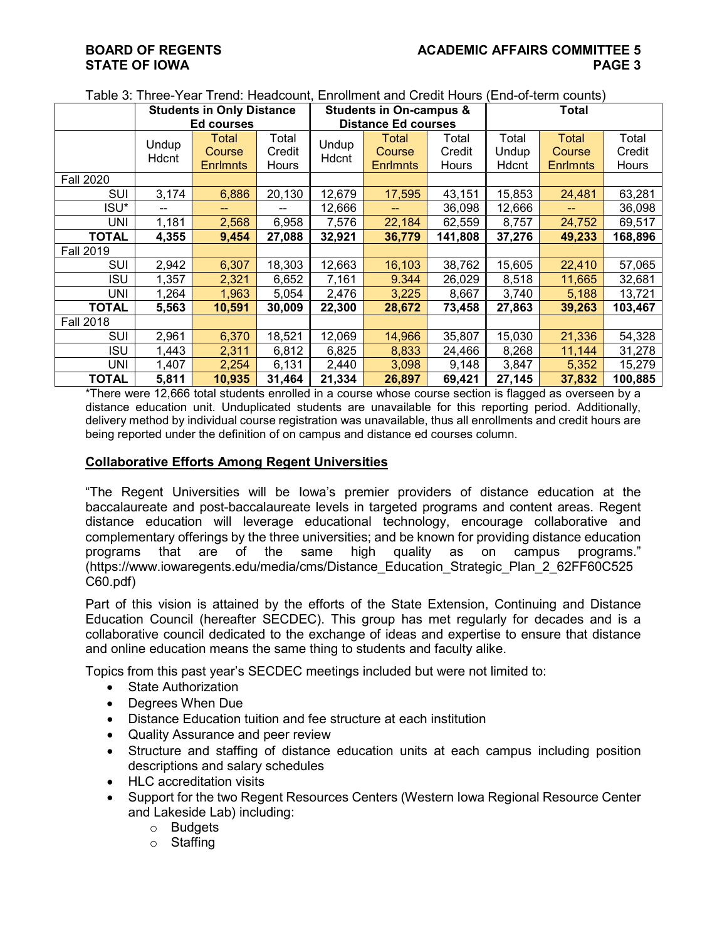|                  |                | <b>Students in Only Distance</b> |                 |                | <b>Students in On-campus &amp;</b> |                 |                | Total           |                 |  |
|------------------|----------------|----------------------------------|-----------------|----------------|------------------------------------|-----------------|----------------|-----------------|-----------------|--|
|                  |                | Ed courses                       |                 |                | <b>Distance Ed courses</b>         |                 |                |                 |                 |  |
|                  | Undup<br>Hdcnt | Total<br><b>Course</b>           | Total<br>Credit | Undup<br>Hdcnt | Total<br>Course                    | Total<br>Credit | Total<br>Undup | Total<br>Course | Total<br>Credit |  |
|                  |                | <b>Enrlmnts</b>                  | <b>Hours</b>    |                | <b>Enrlmnts</b>                    | Hours           | Hdcnt          | <b>Enrlmnts</b> | Hours           |  |
| <b>Fall 2020</b> |                |                                  |                 |                |                                    |                 |                |                 |                 |  |
| SUI              | 3,174          | 6,886                            | 20,130          | 12,679         | 17,595                             | 43,151          | 15,853         | 24,481          | 63,281          |  |
| ISU*             | --             |                                  | $- -$           | 12,666         |                                    | 36,098          | 12,666         | --              | 36,098          |  |
| UNI              | 1,181          | 2,568                            | 6,958           | 7,576          | 22,184                             | 62,559          | 8,757          | 24,752          | 69,517          |  |
| TOTAL            | 4,355          | 9,454                            | 27,088          | 32,921         | 36,779                             | 141,808         | 37,276         | 49,233          | 168,896         |  |
| <b>Fall 2019</b> |                |                                  |                 |                |                                    |                 |                |                 |                 |  |
| SUI              | 2,942          | 6,307                            | 18,303          | 12,663         | 16,103                             | 38,762          | 15,605         | 22,410          | 57,065          |  |
| ISU              | 1,357          | 2,321                            | 6,652           | 7,161          | 9.344                              | 26,029          | 8,518          | 11,665          | 32,681          |  |
| UNI              | 1,264          | 1,963                            | 5,054           | 2,476          | 3,225                              | 8,667           | 3,740          | 5,188           | 13,721          |  |
| TOTAL            | 5,563          | 10,591                           | 30,009          | 22,300         | 28,672                             | 73,458          | 27,863         | 39,263          | 103,467         |  |
| <b>Fall 2018</b> |                |                                  |                 |                |                                    |                 |                |                 |                 |  |
| SUI              | 2,961          | 6,370                            | 18,521          | 12,069         | 14,966                             | 35,807          | 15,030         | 21,336          | 54,328          |  |
| <b>ISU</b>       | 1,443          | 2,311                            | 6,812           | 6,825          | 8,833                              | 24,466          | 8,268          | 11,144          | 31,278          |  |
| UNI              | 1,407          | 2,254                            | 6,131           | 2,440          | 3,098                              | 9,148           | 3,847          | 5,352           | 15,279          |  |
| <b>TOTAL</b>     | 5,811          | 10,935                           | 31,464          | 21,334         | 26,897                             | 69,421          | 27,145         | 37,832          | 100,885         |  |

Table 3: Three-Year Trend: Headcount, Enrollment and Credit Hours (End-of-term counts)

\*There were 12,666 total students enrolled in a course whose course section is flagged as overseen by a distance education unit. Unduplicated students are unavailable for this reporting period. Additionally, delivery method by individual course registration was unavailable, thus all enrollments and credit hours are being reported under the definition of on campus and distance ed courses column.

#### **Collaborative Efforts Among Regent Universities**

"The Regent Universities will be Iowa's premier providers of distance education at the baccalaureate and post-baccalaureate levels in targeted programs and content areas. Regent distance education will leverage educational technology, encourage collaborative and complementary offerings by the three universities; and be known for providing distance education programs that are of the same high quality as on campus programs." (https://www.iowaregents.edu/media/cms/Distance\_Education\_Strategic\_Plan\_2\_62FF60C525 C60.pdf)

Part of this vision is attained by the efforts of the State Extension, Continuing and Distance Education Council (hereafter SECDEC). This group has met regularly for decades and is a collaborative council dedicated to the exchange of ideas and expertise to ensure that distance and online education means the same thing to students and faculty alike.

Topics from this past year's SECDEC meetings included but were not limited to:

- State Authorization
- Degrees When Due
- Distance Education tuition and fee structure at each institution
- Quality Assurance and peer review
- Structure and staffing of distance education units at each campus including position descriptions and salary schedules
- HLC accreditation visits
- Support for the two Regent Resources Centers (Western Iowa Regional Resource Center and Lakeside Lab) including:
	- o Budgets
	- o Staffing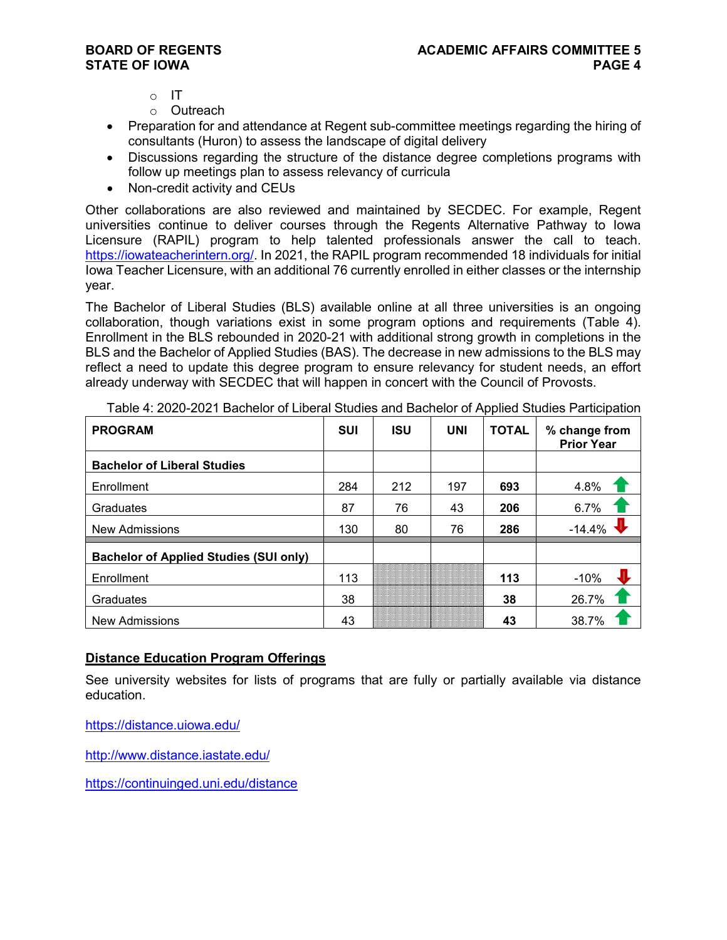- o IT
- o Outreach
- Preparation for and attendance at Regent sub-committee meetings regarding the hiring of consultants (Huron) to assess the landscape of digital delivery
- Discussions regarding the structure of the distance degree completions programs with follow up meetings plan to assess relevancy of curricula
- Non-credit activity and CEUs

Other collaborations are also reviewed and maintained by SECDEC. For example, Regent universities continue to deliver courses through the Regents Alternative Pathway to Iowa Licensure (RAPIL) program to help talented professionals answer the call to teach. [https://iowateacherintern.org/.](https://iowateacherintern.org/) In 2021, the RAPIL program recommended 18 individuals for initial Iowa Teacher Licensure, with an additional 76 currently enrolled in either classes or the internship year.

The Bachelor of Liberal Studies (BLS) available online at all three universities is an ongoing collaboration, though variations exist in some program options and requirements (Table 4). Enrollment in the BLS rebounded in 2020-21 with additional strong growth in completions in the BLS and the Bachelor of Applied Studies (BAS). The decrease in new admissions to the BLS may reflect a need to update this degree program to ensure relevancy for student needs, an effort already underway with SECDEC that will happen in concert with the Council of Provosts.

| <b>PROGRAM</b>                                | <b>SUI</b> | <b>ISU</b> | <b>UNI</b> | <b>TOTAL</b> | % change from<br><b>Prior Year</b> |
|-----------------------------------------------|------------|------------|------------|--------------|------------------------------------|
| <b>Bachelor of Liberal Studies</b>            |            |            |            |              |                                    |
| Enrollment                                    | 284        | 212        | 197        | 693          | 4.8%                               |
| Graduates                                     | 87         | 76         | 43         | 206          | 6.7%                               |
| <b>New Admissions</b>                         | 130        | 80         | 76         | 286          | $-14.4%$                           |
| <b>Bachelor of Applied Studies (SUI only)</b> |            |            |            |              |                                    |
| Enrollment                                    | 113        |            |            | 113          | $-10%$                             |
| Graduates                                     | 38         |            |            | 38           | 26.7%                              |
| <b>New Admissions</b>                         | 43         |            |            | 43           | 38.7%                              |

Table 4: 2020-2021 Bachelor of Liberal Studies and Bachelor of Applied Studies Participation

#### **Distance Education Program Offerings**

See university websites for lists of programs that are fully or partially available via distance education.

<https://distance.uiowa.edu/>

<http://www.distance.iastate.edu/>

<https://continuinged.uni.edu/distance>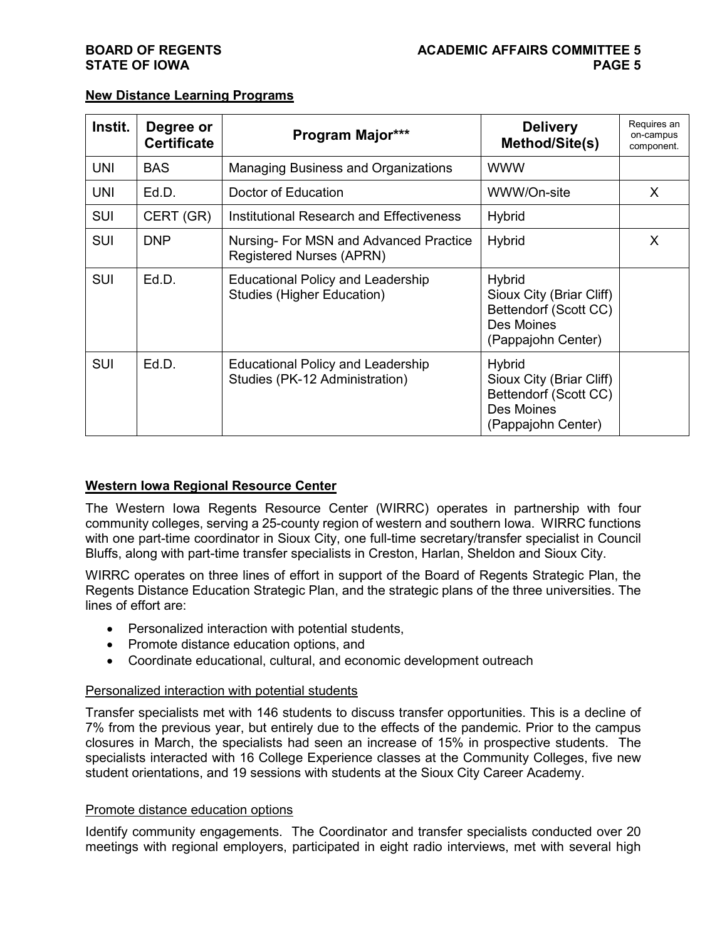| Instit.    | Degree or<br><b>Certificate</b> | Program Major***                                                              | <b>Delivery</b><br><b>Method/Site(s)</b>                                                               | Requires an<br>on-campus<br>component. |
|------------|---------------------------------|-------------------------------------------------------------------------------|--------------------------------------------------------------------------------------------------------|----------------------------------------|
| <b>UNI</b> | <b>BAS</b>                      | <b>Managing Business and Organizations</b>                                    | <b>WWW</b>                                                                                             |                                        |
| <b>UNI</b> | Ed.D.                           | Doctor of Education                                                           | WWW/On-site                                                                                            | X                                      |
| <b>SUI</b> | CERT (GR)                       | Institutional Research and Effectiveness                                      | <b>Hybrid</b>                                                                                          |                                        |
| <b>SUI</b> | <b>DNP</b>                      | Nursing- For MSN and Advanced Practice<br><b>Registered Nurses (APRN)</b>     | <b>Hybrid</b>                                                                                          | X                                      |
| <b>SUI</b> | Ed.D.                           | <b>Educational Policy and Leadership</b><br><b>Studies (Higher Education)</b> | <b>Hybrid</b><br>Sioux City (Briar Cliff)<br>Bettendorf (Scott CC)<br>Des Moines<br>(Pappajohn Center) |                                        |
| <b>SUI</b> | Ed.D.                           | <b>Educational Policy and Leadership</b><br>Studies (PK-12 Administration)    | <b>Hybrid</b><br>Sioux City (Briar Cliff)<br>Bettendorf (Scott CC)<br>Des Moines<br>(Pappajohn Center) |                                        |

### **New Distance Learning Programs**

#### **Western Iowa Regional Resource Center**

The Western Iowa Regents Resource Center (WIRRC) operates in partnership with four community colleges, serving a 25-county region of western and southern Iowa. WIRRC functions with one part-time coordinator in Sioux City, one full-time secretary/transfer specialist in Council Bluffs, along with part-time transfer specialists in Creston, Harlan, Sheldon and Sioux City.

WIRRC operates on three lines of effort in support of the Board of Regents Strategic Plan, the Regents Distance Education Strategic Plan, and the strategic plans of the three universities. The lines of effort are:

- Personalized interaction with potential students,
- Promote distance education options, and
- Coordinate educational, cultural, and economic development outreach

#### Personalized interaction with potential students

Transfer specialists met with 146 students to discuss transfer opportunities. This is a decline of 7% from the previous year, but entirely due to the effects of the pandemic. Prior to the campus closures in March, the specialists had seen an increase of 15% in prospective students. The specialists interacted with 16 College Experience classes at the Community Colleges, five new student orientations, and 19 sessions with students at the Sioux City Career Academy.

#### Promote distance education options

Identify community engagements. The Coordinator and transfer specialists conducted over 20 meetings with regional employers, participated in eight radio interviews, met with several high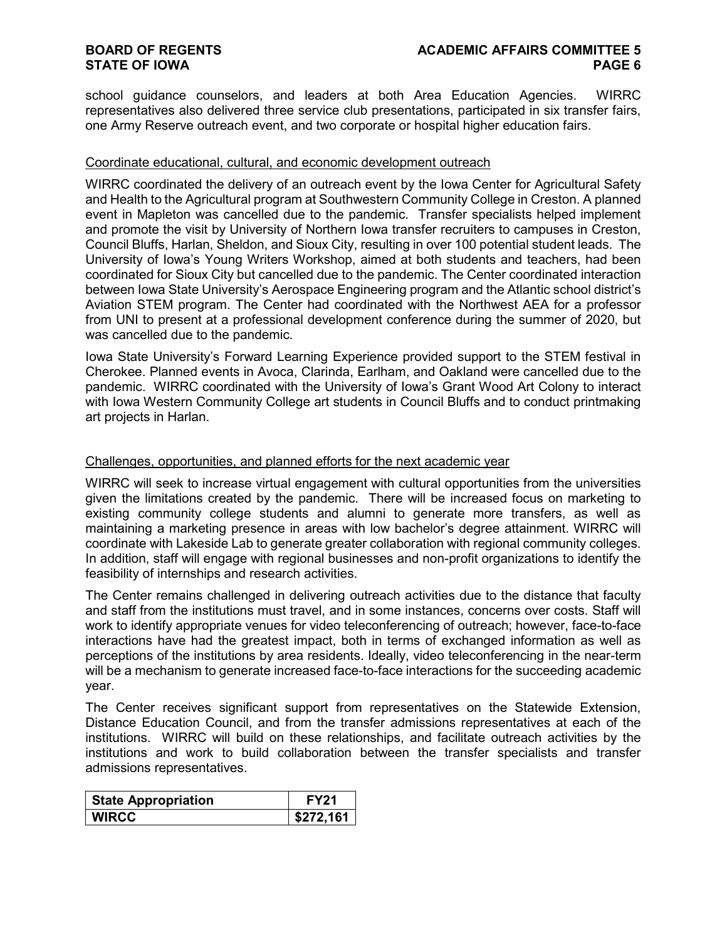school guidance counselors, and leaders at both Area Education Agencies. WIRRC representatives also delivered three service club presentations, participated in six transfer fairs, one Army Reserve outreach event, and two corporate or hospital higher education fairs.

#### Coordinate educational, cultural, and economic development outreach

WIRRC coordinated the delivery of an outreach event by the Iowa Center for Agricultural Safety and Health to the Agricultural program at Southwestern Community College in Creston. A planned event in Mapleton was cancelled due to the pandemic. Transfer specialists helped implement and promote the visit by University of Northern Iowa transfer recruiters to campuses in Creston, Council Bluffs, Harlan, Sheldon, and Sioux City, resulting in over 100 potential student leads. The University of Iowa's Young Writers Workshop, aimed at both students and teachers, had been coordinated for Sioux City but cancelled due to the pandemic. The Center coordinated interaction between Iowa State University's Aerospace Engineering program and the Atlantic school district's Aviation STEM program. The Center had coordinated with the Northwest AEA for a professor from UNI to present at a professional development conference during the summer of 2020, but was cancelled due to the pandemic.

Iowa State University's Forward Learning Experience provided support to the STEM festival in Cherokee. Planned events in Avoca, Clarinda, Earlham, and Oakland were cancelled due to the pandemic. WIRRC coordinated with the University of Iowa's Grant Wood Art Colony to interact with Iowa Western Community College art students in Council Bluffs and to conduct printmaking art projects in Harlan.

#### Challenges, opportunities, and planned efforts for the next academic year

WIRRC will seek to increase virtual engagement with cultural opportunities from the universities given the limitations created by the pandemic. There will be increased focus on marketing to existing community college students and alumni to generate more transfers, as well as maintaining a marketing presence in areas with low bachelor's degree attainment. WIRRC will coordinate with Lakeside Lab to generate greater collaboration with regional community colleges. In addition, staff will engage with regional businesses and non-profit organizations to identify the feasibility of internships and research activities.

The Center remains challenged in delivering outreach activities due to the distance that faculty and staff from the institutions must travel, and in some instances, concerns over costs. Staff will work to identify appropriate venues for video teleconferencing of outreach; however, face-to-face interactions have had the greatest impact, both in terms of exchanged information as well as perceptions of the institutions by area residents. Ideally, video teleconferencing in the near-term will be a mechanism to generate increased face-to-face interactions for the succeeding academic year.

The Center receives significant support from representatives on the Statewide Extension, Distance Education Council, and from the transfer admissions representatives at each of the institutions. WIRRC will build on these relationships, and facilitate outreach activities by the institutions and work to build collaboration between the transfer specialists and transfer admissions representatives.

| <b>State Appropriation</b> | <b>FY21</b> |
|----------------------------|-------------|
| <b>WIRCC</b>               | \$272,161   |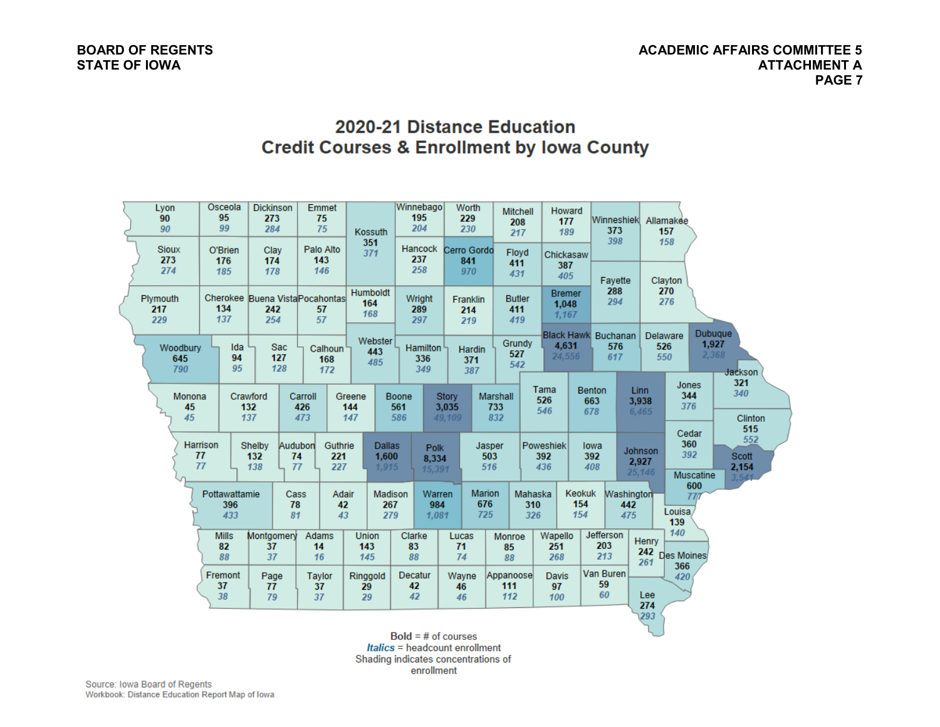### 2020-21 Distance Education **Credit Courses & Enrollment by Iowa County**

| Lyon<br>90<br>90           | Osceola<br>95<br>99         | <b>Dickinson</b><br>273<br>284 | Emmet<br>75<br>75                            | Kossuth                         | Winnebago<br>195<br>204        | Worth<br>229<br>230             |                               | Mitchell<br>208<br>217      | <b>Howard</b><br>177<br>189     | Winneshiek Allamakee<br>373              |                                   | 157                                     |                                                    |
|----------------------------|-----------------------------|--------------------------------|----------------------------------------------|---------------------------------|--------------------------------|---------------------------------|-------------------------------|-----------------------------|---------------------------------|------------------------------------------|-----------------------------------|-----------------------------------------|----------------------------------------------------|
| <b>Sioux</b><br>273<br>274 | O'Brien<br>176<br>185       | Clay<br>174<br>178             | Palo Alto<br>143<br>146                      | 351<br>371                      | Hancock<br>237<br>258          | Cerro Gordo<br>841<br>970       |                               | Floyd<br>411<br>431         | Chickasaw<br>387<br>405         | 398<br>Fayette                           |                                   | 158<br>Clayton                          |                                                    |
| Plymouth<br>217<br>229     | 134<br>137                  | 242<br>254                     | Cherokee Buena Vista Pocahontas<br>57<br>57  | <b>Humboldt</b><br>164<br>168   | Wright<br>289<br>297           | Franklin<br>214<br>219          |                               | <b>Butler</b><br>411<br>419 | <b>Bremer</b><br>1.048<br>1,167 | 288<br>294                               |                                   | 270<br>276                              |                                                    |
| Woodbury<br>645<br>790     | Ida<br>94<br>95             | <b>Sac</b><br>127<br>128       | Calhoun<br>168<br>172                        | Webster<br>443<br>485           | Hamilton<br>336<br>349         | <b>Hardin</b><br>371<br>387     |                               | Grundy<br>527<br>542        | 4,631<br>24,556                 | <b>Black Hawk</b> Buchanan<br>576<br>617 |                                   | <b>Delaware</b><br>526<br>550           | <b>Dubuque</b><br>1,927<br>2,368<br><b>Jackson</b> |
| Monona<br>45<br>45         |                             | Crawford<br>132<br>137         | Carroll<br>426<br>473                        | Greene<br>144<br>147            | Boone<br>561<br>586            | <b>Story</b><br>3,035<br>49.109 | <b>Marshall</b><br>733<br>832 |                             | Tama<br>526<br>546              | <b>Benton</b><br>663<br>678              | <b>Linn</b><br>3,938<br>6,465     | Jones<br>344<br>376                     | 321<br>340<br><b>Clinton</b><br>515                |
|                            | <b>Harrison</b><br>77<br>77 | Shelby<br>132<br>138           | Audubon<br>Guthrie<br>74<br>221<br>77<br>227 | <b>Dallas</b><br>1,600<br>1.915 | <b>Polk</b><br>8,334<br>15,391 |                                 | Jasper<br>503<br>516          |                             | Poweshiek<br>392<br>436         | lowa<br>392<br>408                       | <b>Johnson</b><br>2,927<br>25,146 | Cedar<br>360<br>392<br><b>Muscatine</b> | 552<br><b>Scott</b><br>2,154<br>3,541              |
|                            | Pottawattamie<br>396<br>433 | 78<br>81                       | Adair<br>Cass<br>42<br>43                    | Madison<br>267<br>279           | Warren<br>984<br>1.081         |                                 | <b>Marion</b><br>676<br>725   | Mahaska<br>310<br>326       |                                 | <b>Keokuk</b><br>154<br>154              | <b>Washington</b><br>442<br>475   | 600<br>777<br>Louisa/<br>139            |                                                    |
|                            | <b>Mills</b><br>82<br>88    | Montgomery<br>37<br>37         | Adams<br>14<br>16                            | <b>Union</b><br>143<br>145      | Clarke<br>83<br>88             | Lucas<br>71<br>74               | Monroe<br>85<br>88            |                             | Wapello<br>251<br>268           | Jefferson<br>203<br>213                  | Henry<br>242<br>261               | 140<br><b>Des Moines</b><br>366         |                                                    |
|                            | Fremont<br>37<br>38         | Page<br>77<br>79               | <b>Taylor</b><br>37<br>37                    | Ringgold<br>29<br>29            | Decatur<br>42<br>42            | Wayne<br>46<br>46               | Appanoose<br>111<br>112       |                             | <b>Davis</b><br>97<br>100       | <b>Van Buren</b><br>59<br>60             | Lee<br>274                        | 420                                     |                                                    |
|                            |                             |                                |                                              |                                 | $Bald = #$ of courses          |                                 |                               |                             |                                 |                                          | 293                               |                                         |                                                    |

 $Bold = # of courses$ Italics = headcount enrollment Shading indicates concentrations of enrollment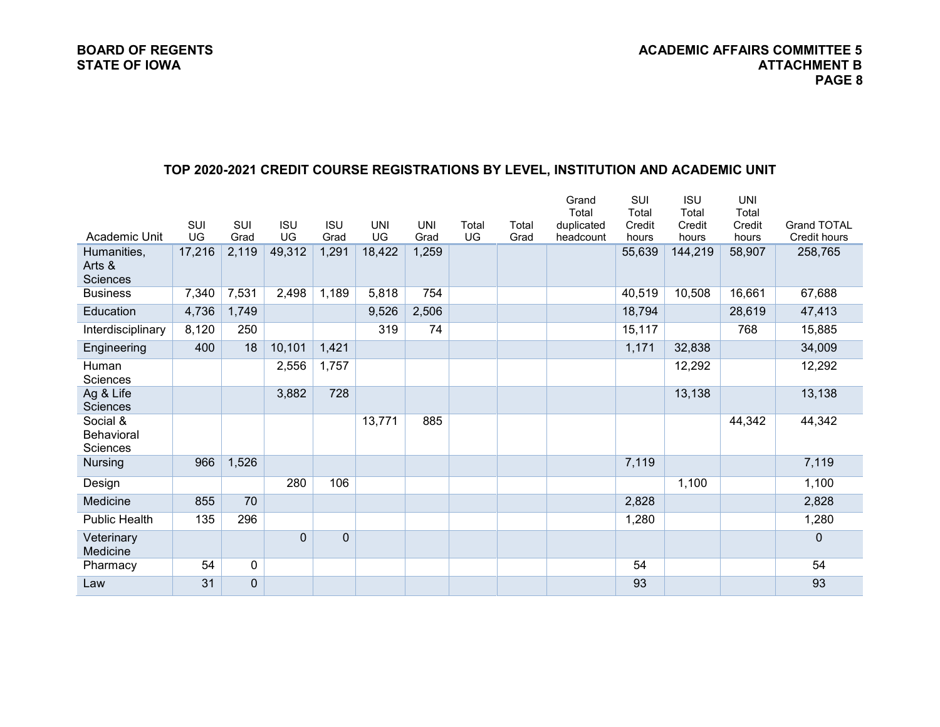### **TOP 2020-2021 CREDIT COURSE REGISTRATIONS BY LEVEL, INSTITUTION AND ACADEMIC UNIT**

|                               |        |              |                |                |            |            |       |       | Grand<br>Total | SUI<br>Total | <b>ISU</b><br>Total | <b>UNI</b><br>Total |                     |
|-------------------------------|--------|--------------|----------------|----------------|------------|------------|-------|-------|----------------|--------------|---------------------|---------------------|---------------------|
|                               | SUI    | <b>SUI</b>   | <b>ISU</b>     | <b>ISU</b>     | <b>UNI</b> | <b>UNI</b> | Total | Total | duplicated     | Credit       | Credit              | Credit              | <b>Grand TOTAL</b>  |
| Academic Unit                 | UG     | Grad         | UG             | Grad           | UG         | Grad       | UG    | Grad  | headcount      | hours        | hours               | hours               | <b>Credit hours</b> |
| Humanities,                   | 17,216 | 2,119        | 49,312         | 1,291          | 18,422     | 1,259      |       |       |                | 55,639       | 144,219             | 58,907              | 258,765             |
| Arts &                        |        |              |                |                |            |            |       |       |                |              |                     |                     |                     |
| Sciences                      |        |              |                |                |            |            |       |       |                |              |                     |                     |                     |
| <b>Business</b>               | 7,340  | 7,531        | 2,498          | 1,189          | 5,818      | 754        |       |       |                | 40,519       | 10,508              | 16,661              | 67,688              |
| Education                     | 4,736  | 1,749        |                |                | 9,526      | 2,506      |       |       |                | 18,794       |                     | 28,619              | 47,413              |
| Interdisciplinary             | 8,120  | 250          |                |                | 319        | 74         |       |       |                | 15,117       |                     | 768                 | 15,885              |
| Engineering                   | 400    | 18           | 10,101         | 1,421          |            |            |       |       |                | 1,171        | 32,838              |                     | 34,009              |
| Human                         |        |              | 2,556          | 1,757          |            |            |       |       |                |              | 12,292              |                     | 12,292              |
| Sciences                      |        |              |                |                |            |            |       |       |                |              |                     |                     |                     |
| Ag & Life                     |        |              | 3,882          | 728            |            |            |       |       |                |              | 13,138              |                     | 13,138              |
| <b>Sciences</b>               |        |              |                |                |            |            |       |       |                |              |                     |                     |                     |
| Social &                      |        |              |                |                | 13,771     | 885        |       |       |                |              |                     | 44,342              | 44,342              |
| <b>Behavioral</b><br>Sciences |        |              |                |                |            |            |       |       |                |              |                     |                     |                     |
| <b>Nursing</b>                | 966    | 1,526        |                |                |            |            |       |       |                | 7,119        |                     |                     | 7,119               |
|                               |        |              |                |                |            |            |       |       |                |              |                     |                     |                     |
| Design                        |        |              | 280            | 106            |            |            |       |       |                |              | 1,100               |                     | 1,100               |
| Medicine                      | 855    | 70           |                |                |            |            |       |       |                | 2,828        |                     |                     | 2,828               |
| <b>Public Health</b>          | 135    | 296          |                |                |            |            |       |       |                | 1,280        |                     |                     | 1,280               |
| Veterinary<br>Medicine        |        |              | $\overline{0}$ | $\overline{0}$ |            |            |       |       |                |              |                     |                     | $\mathbf 0$         |
| Pharmacy                      | 54     | $\mathbf 0$  |                |                |            |            |       |       |                | 54           |                     |                     | 54                  |
| Law                           | 31     | $\mathbf{0}$ |                |                |            |            |       |       |                | 93           |                     |                     | 93                  |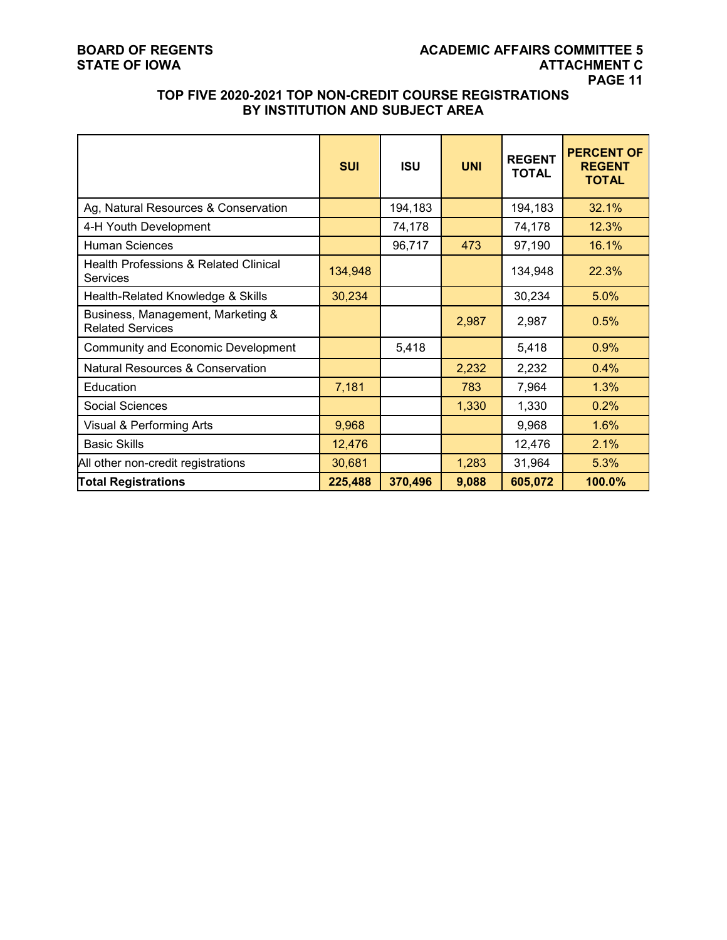### **TOP FIVE 2020-2021 TOP NON-CREDIT COURSE REGISTRATIONS BY INSTITUTION AND SUBJECT AREA**

|                                                                     | <b>SUI</b> | <b>ISU</b> | <b>UNI</b> | <b>REGENT</b><br><b>TOTAL</b> | <b>PERCENT OF</b><br><b>REGENT</b><br><b>TOTAL</b> |
|---------------------------------------------------------------------|------------|------------|------------|-------------------------------|----------------------------------------------------|
| Ag, Natural Resources & Conservation                                |            | 194,183    |            | 194,183                       | 32.1%                                              |
| 4-H Youth Development                                               |            | 74,178     |            | 74,178                        | 12.3%                                              |
| <b>Human Sciences</b>                                               |            | 96,717     | 473        | 97,190                        | 16.1%                                              |
| <b>Health Professions &amp; Related Clinical</b><br><b>Services</b> | 134,948    |            |            | 134,948                       | 22.3%                                              |
| Health-Related Knowledge & Skills                                   | 30,234     |            |            | 30,234                        | 5.0%                                               |
| Business, Management, Marketing &<br><b>Related Services</b>        |            |            | 2,987      | 2,987                         | 0.5%                                               |
| Community and Economic Development                                  |            | 5,418      |            | 5,418                         | 0.9%                                               |
| <b>Natural Resources &amp; Conservation</b>                         |            |            | 2,232      | 2,232                         | 0.4%                                               |
| Education                                                           | 7,181      |            | 783        | 7,964                         | 1.3%                                               |
| Social Sciences                                                     |            |            | 1,330      | 1,330                         | 0.2%                                               |
| Visual & Performing Arts                                            | 9,968      |            |            | 9,968                         | 1.6%                                               |
| <b>Basic Skills</b>                                                 | 12,476     |            |            | 12,476                        | 2.1%                                               |
| All other non-credit registrations                                  | 30,681     |            | 1,283      | 31,964                        | 5.3%                                               |
| <b>Total Registrations</b>                                          | 225,488    | 370,496    | 9,088      | 605,072                       | 100.0%                                             |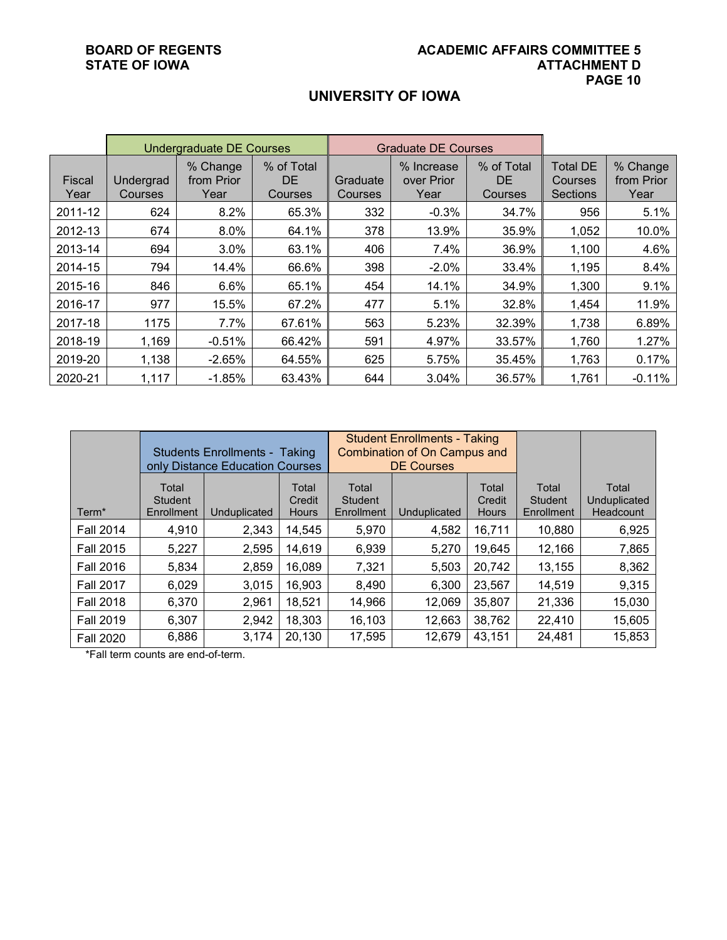## **UNIVERSITY OF IOWA**

|                |                      | <b>Undergraduate DE Courses</b> |                              |                     | <b>Graduate DE Courses</b>       |                              |                                               |                                |
|----------------|----------------------|---------------------------------|------------------------------|---------------------|----------------------------------|------------------------------|-----------------------------------------------|--------------------------------|
| Fiscal<br>Year | Undergrad<br>Courses | % Change<br>from Prior<br>Year  | % of Total<br>DE.<br>Courses | Graduate<br>Courses | % Increase<br>over Prior<br>Year | % of Total<br>DE.<br>Courses | <b>Total DE</b><br>Courses<br><b>Sections</b> | % Change<br>from Prior<br>Year |
| 2011-12        | 624                  | 8.2%                            | 65.3%                        | 332                 | $-0.3%$                          | 34.7%                        | 956                                           | 5.1%                           |
| 2012-13        | 674                  | 8.0%                            | 64.1%                        | 378                 | 13.9%                            | 35.9%                        | 1,052                                         | 10.0%                          |
| 2013-14        | 694                  | 3.0%                            | 63.1%                        | 406                 | 7.4%                             | 36.9%                        | 1,100                                         | 4.6%                           |
| 2014-15        | 794                  | 14.4%                           | 66.6%                        | 398                 | $-2.0%$                          | 33.4%                        | 1,195                                         | 8.4%                           |
| 2015-16        | 846                  | 6.6%                            | 65.1%                        | 454                 | 14.1%                            | 34.9%                        | 1,300                                         | 9.1%                           |
| 2016-17        | 977                  | 15.5%                           | 67.2%                        | 477                 | 5.1%                             | 32.8%                        | 1,454                                         | 11.9%                          |
| 2017-18        | 1175                 | 7.7%                            | 67.61%                       | 563                 | 5.23%                            | 32.39%                       | 1,738                                         | 6.89%                          |
| 2018-19        | 1,169                | $-0.51%$                        | 66.42%                       | 591                 | 4.97%                            | 33.57%                       | 1,760                                         | 1.27%                          |
| 2019-20        | 1,138                | $-2.65%$                        | 64.55%                       | 625                 | 5.75%                            | 35.45%                       | 1,763                                         | 0.17%                          |
| 2020-21        | 1,117                | $-1.85%$                        | 63.43%                       | 644                 | 3.04%                            | 36.57%                       | 1,761                                         | $-0.11%$                       |

|                   |                                | <b>Students Enrollments - Taking</b><br>only Distance Education Courses |                                 |                                | <b>Student Enrollments - Taking</b><br><b>Combination of On Campus and</b><br><b>DE Courses</b> |                                 |                                |                                    |
|-------------------|--------------------------------|-------------------------------------------------------------------------|---------------------------------|--------------------------------|-------------------------------------------------------------------------------------------------|---------------------------------|--------------------------------|------------------------------------|
| Term <sup>*</sup> | Total<br>Student<br>Enrollment | Unduplicated                                                            | Total<br>Credit<br><b>Hours</b> | Total<br>Student<br>Enrollment | Unduplicated                                                                                    | Total<br>Credit<br><b>Hours</b> | Total<br>Student<br>Enrollment | Total<br>Unduplicated<br>Headcount |
| <b>Fall 2014</b>  | 4,910                          | 2,343                                                                   | 14,545                          | 5,970                          | 4,582                                                                                           | 16,711                          | 10,880                         | 6,925                              |
| <b>Fall 2015</b>  | 5,227                          | 2,595                                                                   | 14,619                          | 6,939                          | 5,270                                                                                           | 19,645                          | 12,166                         | 7,865                              |
| <b>Fall 2016</b>  | 5,834                          | 2,859                                                                   | 16,089                          | 7,321                          | 5.503                                                                                           | 20,742                          | 13,155                         | 8,362                              |
| <b>Fall 2017</b>  | 6,029                          | 3,015                                                                   | 16,903                          | 8,490                          | 6,300                                                                                           | 23,567                          | 14,519                         | 9,315                              |
| <b>Fall 2018</b>  | 6,370                          | 2,961                                                                   | 18,521                          | 14,966                         | 12,069                                                                                          | 35,807                          | 21,336                         | 15,030                             |
| <b>Fall 2019</b>  | 6,307                          | 2,942                                                                   | 18,303                          | 16,103                         | 12,663                                                                                          | 38,762                          | 22,410                         | 15,605                             |
| <b>Fall 2020</b>  | 6,886                          | 3,174                                                                   | 20,130                          | 17,595                         | 12,679                                                                                          | 43,151                          | 24,481                         | 15,853                             |

\*Fall term counts are end-of-term.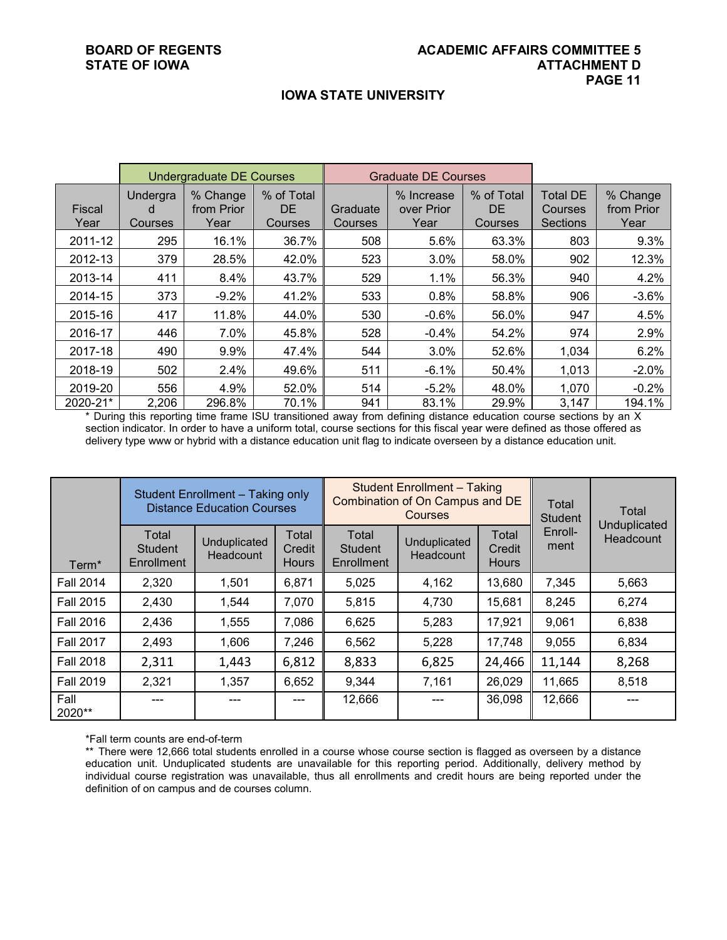#### **IOWA STATE UNIVERSITY**

|                       |                          | <b>Undergraduate DE Courses</b> |                                    |                     | <b>Graduate DE Courses</b>       |                                    |                                        |                                |
|-----------------------|--------------------------|---------------------------------|------------------------------------|---------------------|----------------------------------|------------------------------------|----------------------------------------|--------------------------------|
| <b>Fiscal</b><br>Year | Undergra<br>d<br>Courses | % Change<br>from Prior<br>Year  | % of Total<br><b>DE</b><br>Courses | Graduate<br>Courses | % Increase<br>over Prior<br>Year | % of Total<br><b>DE</b><br>Courses | <b>Total DE</b><br>Courses<br>Sections | % Change<br>from Prior<br>Year |
| 2011-12               | 295                      | 16.1%                           | 36.7%                              | 508                 | 5.6%                             | 63.3%                              | 803                                    | 9.3%                           |
| 2012-13               | 379                      | 28.5%                           | 42.0%                              | 523                 | 3.0%                             | 58.0%                              | 902                                    | 12.3%                          |
| 2013-14               | 411                      | 8.4%                            | 43.7%                              | 529                 | 1.1%                             | 56.3%                              | 940                                    | 4.2%                           |
| 2014-15               | 373                      | $-9.2%$                         | 41.2%                              | 533                 | 0.8%                             | 58.8%                              | 906                                    | $-3.6%$                        |
| 2015-16               | 417                      | 11.8%                           | 44.0%                              | 530                 | $-0.6%$                          | 56.0%                              | 947                                    | 4.5%                           |
| 2016-17               | 446                      | 7.0%                            | 45.8%                              | 528                 | $-0.4%$                          | 54.2%                              | 974                                    | 2.9%                           |
| 2017-18               | 490                      | 9.9%                            | 47.4%                              | 544                 | 3.0%                             | 52.6%                              | 1,034                                  | 6.2%                           |
| 2018-19               | 502                      | 2.4%                            | 49.6%                              | 511                 | $-6.1%$                          | 50.4%                              | 1,013                                  | $-2.0%$                        |
| 2019-20               | 556                      | 4.9%                            | 52.0%                              | 514                 | $-5.2%$                          | 48.0%                              | 1,070                                  | $-0.2%$                        |
| 2020-21*              | 2,206                    | 296.8%                          | 70.1%                              | 941                 | 83.1%                            | 29.9%                              | 3,147                                  | 194.1%                         |

\* During this reporting time frame ISU transitioned away from defining distance education course sections by an X section indicator. In order to have a uniform total, course sections for this fiscal year were defined as those offered as delivery type www or hybrid with a distance education unit flag to indicate overseen by a distance education unit.

|                   | Student Enrollment - Taking only<br><b>Distance Education Courses</b> |                           |                                 | <b>Student Enrollment - Taking</b><br>Combination of On Campus and DE<br>Courses |                           |                                 | Total<br><b>Student</b> | Total<br>Unduplicated |
|-------------------|-----------------------------------------------------------------------|---------------------------|---------------------------------|----------------------------------------------------------------------------------|---------------------------|---------------------------------|-------------------------|-----------------------|
| Term <sup>*</sup> | Total<br><b>Student</b><br>Enrollment                                 | Unduplicated<br>Headcount | Total<br>Credit<br><b>Hours</b> | Total<br><b>Student</b><br>Enrollment                                            | Unduplicated<br>Headcount | Total<br>Credit<br><b>Hours</b> | Enroll-<br>ment         | Headcount             |
| <b>Fall 2014</b>  | 2,320                                                                 | 1,501                     | 6,871                           | 5,025                                                                            | 4,162                     | 13,680                          | 7,345                   | 5,663                 |
| <b>Fall 2015</b>  | 2,430                                                                 | 1,544                     | 7,070                           | 5,815                                                                            | 4,730                     | 15,681                          | 8,245                   | 6,274                 |
| <b>Fall 2016</b>  | 2,436                                                                 | 1,555                     | 7,086                           | 6,625                                                                            | 5,283                     | 17,921                          | 9,061                   | 6,838                 |
| <b>Fall 2017</b>  | 2,493                                                                 | 1,606                     | 7,246                           | 6,562                                                                            | 5,228                     | 17,748                          | 9,055                   | 6,834                 |
| <b>Fall 2018</b>  | 2,311                                                                 | 1,443                     | 6,812                           | 8,833                                                                            | 6,825                     | 24,466                          | 11,144                  | 8,268                 |
| <b>Fall 2019</b>  | 2,321                                                                 | 1,357                     | 6,652                           | 9,344                                                                            | 7,161                     | 26,029                          | 11,665                  | 8,518                 |
| Fall<br>$2020**$  |                                                                       |                           |                                 | 12,666                                                                           | ---                       | 36,098                          | 12,666                  |                       |

\*Fall term counts are end-of-term

\*\* There were 12,666 total students enrolled in a course whose course section is flagged as overseen by a distance education unit. Unduplicated students are unavailable for this reporting period. Additionally, delivery method by individual course registration was unavailable, thus all enrollments and credit hours are being reported under the definition of on campus and de courses column.